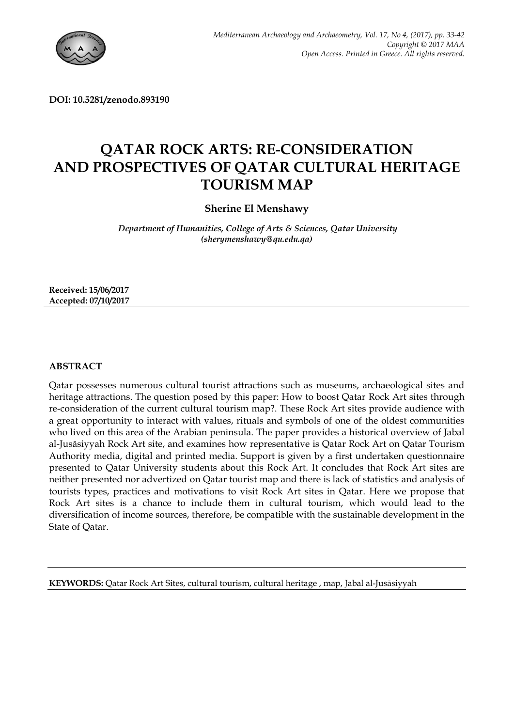

**DOI: 10.5281/zenodo.893190**

# **QATAR ROCK ARTS: RE-CONSIDERATION ΑND PROSPECTIVES OF QATAR CULTURAL HERITAGE TOURISM MAP**

# **Sherine El Menshawy**

*Department of Humanities, College of Arts & Sciences, Qatar University (sherymenshawy@qu.edu.qa)*

**Received: 15/06/2017 Accepted: 07/10/2017**

# **ABSTRACT**

Qatar possesses numerous cultural tourist attractions such as museums, archaeological sites and heritage attractions. The question posed by this paper: How to boost Qatar Rock Art sites through re-consideration of the current cultural tourism map?. These Rock Art sites provide audience with a great opportunity to interact with values, rituals and symbols of one of the oldest communities who lived on this area of the Arabian peninsula. The paper provides a historical overview of Jabal al-Jusāsiyyah Rock Art site, and examines how representative is Qatar Rock Art on Qatar Tourism Authority media, digital and printed media. Support is given by a first undertaken questionnaire presented to Qatar University students about this Rock Art. It concludes that Rock Art sites are neither presented nor advertized on Qatar tourist map and there is lack of statistics and analysis of tourists types, practices and motivations to visit Rock Art sites in Qatar. Here we propose that Rock Art sites is a chance to include them in cultural tourism, which would lead to the diversification of income sources, therefore, be compatible with the sustainable development in the State of Qatar.

**KEYWORDS:** Qatar Rock Art Sites, cultural tourism, cultural heritage , map, Jabal al-Jusāsiyyah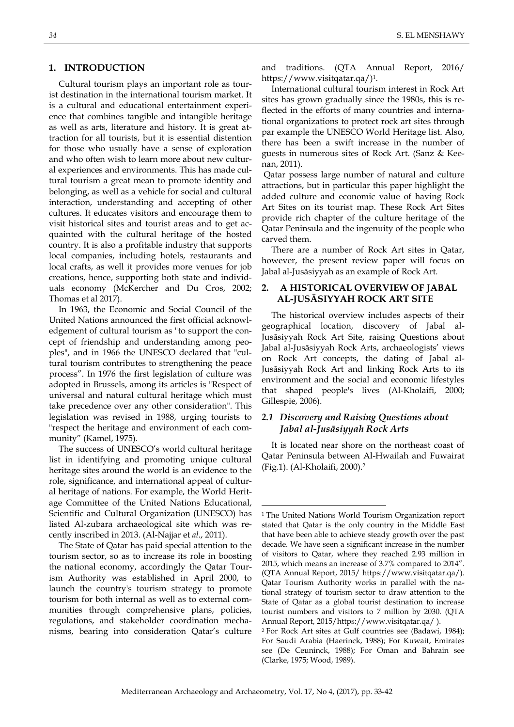### **1. INTRODUCTION**

Cultural tourism plays an important role as tourist destination in the international tourism market. It is a cultural and educational entertainment experience that combines tangible and intangible heritage as well as arts, literature and history. It is great attraction for all tourists, but it is essential distention for those who usually have a sense of exploration and who often wish to learn more about new cultural experiences and environments. This has made cultural tourism a great mean to promote identity and belonging, as well as a vehicle for social and cultural interaction, understanding and accepting of other cultures. It educates visitors and encourage them to visit historical sites and tourist areas and to get acquainted with the cultural heritage of the hosted country. It is also a profitable industry that supports local companies, including hotels, restaurants and local crafts, as well it provides more venues for job creations, hence, supporting both state and individuals economy (McKercher and Du Cros, 2002; Thomas et al 2017).

In 1963, the Economic and Social Council of the United Nations announced the first official acknowledgement of cultural tourism as "to support the concept of friendship and understanding among peoples", and in 1966 the UNESCO declared that "cultural tourism contributes to strengthening the peace process". In 1976 the first legislation of culture was adopted in Brussels, among its articles is "Respect of universal and natural cultural heritage which must take precedence over any other consideration". This legislation was revised in 1988, urging tourists to "respect the heritage and environment of each community" (Kamel, 1975).

The success of UNESCO's world cultural heritage list in identifying and promoting unique cultural heritage sites around the world is an evidence to the role, significance, and international appeal of cultural heritage of nations. For example, the World Heritage Committee of the United Nations Educational, Scientific and Cultural Organization (UNESCO) has listed Al-zubara archaeological site which was recently inscribed in 2013. (Al-Najjar et *al.*, 2011).

The State of Qatar has paid special attention to the tourism sector, so as to increase its role in boosting the national economy, accordingly the Qatar Tourism Authority was established in April 2000, to launch the country's tourism strategy to promote tourism for both internal as well as to external communities through comprehensive plans, policies, regulations, and stakeholder coordination mechanisms, bearing into consideration Qatar's culture and traditions. (QTA Annual Report, 2016/ https://www.visitqatar.qa/)<sup>1</sup> .

International cultural tourism interest in Rock Art sites has grown gradually since the 1980s, this is reflected in the efforts of many countries and international organizations to protect rock art sites through par example the UNESCO World Heritage list. Also, there has been a swift increase in the number of guests in numerous sites of Rock Art. (Sanz & Keenan, 2011).

Qatar possess large number of natural and culture attractions, but in particular this paper highlight the added culture and economic value of having Rock Art Sites on its tourist map. These Rock Art Sites provide rich chapter of the culture heritage of the Qatar Peninsula and the ingenuity of the people who carved them.

There are a number of Rock Art sites in Qatar, however, the present review paper will focus on Jabal al-Jusāsiyyah as an example of Rock Art.

# **2. A HISTORICAL OVERVIEW OF JABAL AL-JUSĀSIYYAH ROCK ART SITE**

The historical overview includes aspects of their geographical location, discovery of Jabal al-Jusāsiyyah Rock Art Site, raising Questions about Jabal al-Jusāsiyyah Rock Arts, archaeologists' views on Rock Art concepts, the dating of Jabal al-Jusāsiyyah Rock Art and linking Rock Arts to its environment and the social and economic lifestyles that shaped people's lives (Al-Kholaifi, 2000; Gillespie, 2006).

### *2.1 Discovery and Raising Questions about Jabal al-Jusāsiyyah Rock Arts*

It is located near shore on the northeast coast of Qatar Peninsula between Al-Hwailah and Fuwairat (Fig.1). (Al-Kholaifi, 2000).<sup>2</sup>

**.** 

<sup>1</sup> The United Nations World Tourism Organization report stated that Qatar is the only country in the Middle East that have been able to achieve steady growth over the past decade. We have seen a significant increase in the number of visitors to Qatar, where they reached 2.93 million in 2015, which means an increase of 3.7% compared to 2014". (QTA Annual Report, 2015/ [https://www.visitqatar.qa/\)](https://www.visitqatar.qa/). Qatar Tourism Authority works in parallel with the national strategy of tourism sector to draw attention to the State of Qatar as a global tourist destination to increase tourist numbers and visitors to 7 million by 2030. (QTA Annual Report, 2015/https://www.visitqatar.qa/ ).

<sup>2</sup> For Rock Art sites at Gulf countries see (Badawi, 1984); For Saudi Arabia (Haerinck, 1988); For Kuwait, Emirates see (De Ceuninck, 1988); For Oman and Bahrain see (Clarke, 1975; Wood, 1989).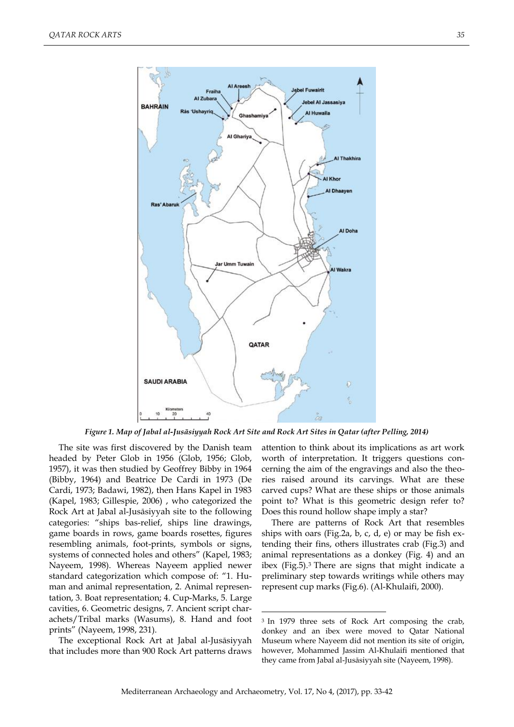

*Figure 1. Map of Jabal al-Jusāsiyyah Rock Art Site and Rock Art Sites in Qatar (after Pelling, 2014)*

The site was first discovered by the Danish team headed by Peter Glob in 1956 (Glob, 1956; Glob, 1957), it was then studied by Geoffrey Bibby in 1964 (Bibby, 1964) and Beatrice De Cardi in 1973 (De Cardi, 1973; Badawi, 1982), then Hans Kapel in 1983 (Kapel, 1983; Gillespie, 2006) , who categorized the Rock Art at Jabal al-Jusāsiyyah site to the following categories: "ships bas-relief, ships line drawings, game boards in rows, game boards rosettes, figures resembling animals, foot-prints, symbols or signs, systems of connected holes and others" (Kapel, 1983; Nayeem, 1998). Whereas Nayeem applied newer standard categorization which compose of: "1. Human and animal representation, 2. Animal representation, 3. Boat representation; 4. Cup-Marks, 5. Large cavities, 6. Geometric designs, 7. Ancient script charachets/Tribal marks (Wasums), 8. Hand and foot prints" (Nayeem, 1998, 231).

The exceptional Rock Art at Jabal al-Jusāsiyyah that includes more than 900 Rock Art patterns draws

attention to think about its implications as art work worth of interpretation. It triggers questions concerning the aim of the engravings and also the theories raised around its carvings. What are these carved cups? What are these ships or those animals point to? What is this geometric design refer to? Does this round hollow shape imply a star?

There are patterns of Rock Art that resembles ships with oars (Fig.2a, b, c, d, e) or may be fish extending their fins, others illustrates crab (Fig.3) and animal representations as a donkey (Fig. 4) and an ibex (Fig.5). $3$  There are signs that might indicate a preliminary step towards writings while others may represent cup marks (Fig.6). (Al-Khulaifi, 2000).

**.** 

<sup>3</sup> In 1979 three sets of Rock Art composing the crab, donkey and an ibex were moved to Qatar National Museum where Nayeem did not mention its site of origin, however, Mohammed Jassim Al-Khulaifi mentioned that they came from Jabal al-Jusāsiyyah site (Nayeem, 1998).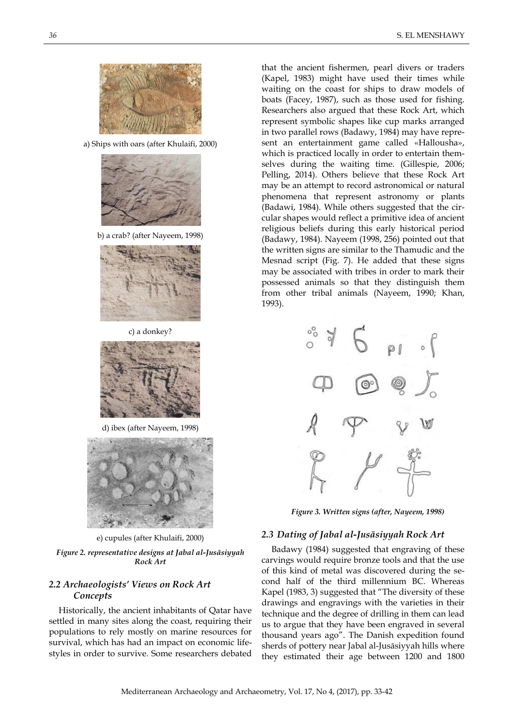a) Ships with oars (after Khulaifi, 2000)



b) a crab? (after Nayeem, 1998)



c) a donkey?



d) ibex (after Nayeem, 1998)



e) cupules (after Khulaifi, 2000) *Figure 2. representative designs at Jabal al-Jusāsiyyah Rock Art*

# *2.2 Archaeologists' Views on Rock Art Concepts*

Historically, the ancient inhabitants of Qatar have settled in many sites along the coast, requiring their populations to rely mostly on marine resources for survival, which has had an impact on economic lifestyles in order to survive. Some researchers debated

that the ancient fishermen, pearl divers or traders (Kapel, 1983) might have used their times while waiting on the coast for ships to draw models of boats (Facey, 1987), such as those used for fishing. Researchers also argued that these Rock Art, which represent symbolic shapes like cup marks arranged in two parallel rows (Badawy, 1984) may have represent an entertainment game called «Hallousha», which is practiced locally in order to entertain themselves during the waiting time. (Gillespie, 2006; Pelling, 2014). Others believe that these Rock Art may be an attempt to record astronomical or natural phenomena that represent astronomy or plants (Badawi, 1984). While others suggested that the circular shapes would reflect a primitive idea of ancient religious beliefs during this early historical period (Badawy, 1984). Nayeem (1998, 256) pointed out that the written signs are similar to the Thamudic and the Mesnad script (Fig. 7). He added that these signs may be associated with tribes in order to mark their possessed animals so that they distinguish them from other tribal animals (Nayeem, 1990; Khan, 1993).



*Figure 3. Written signs (after, Nayeem, 1998)*

### *2.3 Dating of Jabal al-Jusāsiyyah Rock Art*

Badawy (1984) suggested that engraving of these carvings would require bronze tools and that the use of this kind of metal was discovered during the second half of the third millennium BC. Whereas Kapel (1983, 3) suggested that "The diversity of these drawings and engravings with the varieties in their technique and the degree of drilling in them can lead us to argue that they have been engraved in several thousand years ago". The Danish expedition found sherds of pottery near Jabal al-Jusāsiyyah hills where they estimated their age between 1200 and 1800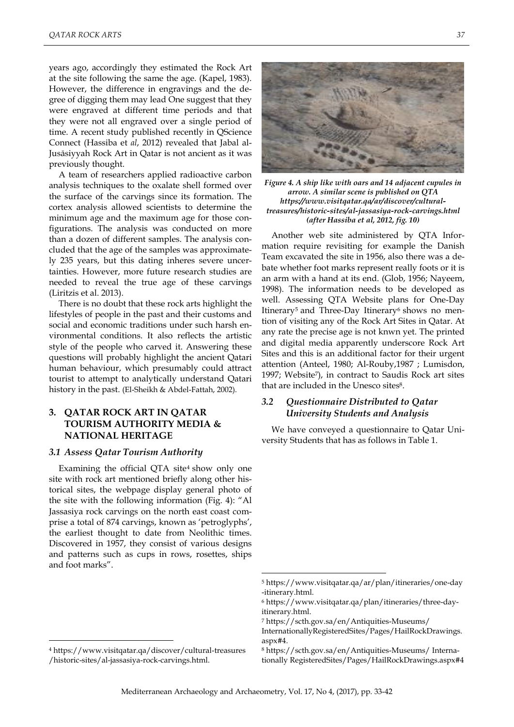years ago, accordingly they estimated the Rock Art at the site following the same the age. (Kapel, 1983). However, the difference in engravings and the degree of digging them may lead One suggest that they were engraved at different time periods and that they were not all engraved over a single period of time. A recent study published recently in QScience Connect (Hassiba et *al*, 2012) revealed that Jabal al-Jusāsiyyah Rock Art in Qatar is not ancient as it was previously thought.

A team of researchers applied radioactive carbon analysis techniques to the oxalate shell formed over the surface of the carvings since its formation. The cortex analysis allowed scientists to determine the minimum age and the maximum age for those configurations. The analysis was conducted on more than a dozen of different samples. The analysis concluded that the age of the samples was approximately 235 years, but this dating inheres severe uncertainties. However, more future research studies are needed to reveal the true age of these carvings (Liritzis et al. 2013).

There is no doubt that these rock arts highlight the lifestyles of people in the past and their customs and social and economic traditions under such harsh environmental conditions. It also reflects the artistic style of the people who carved it. Answering these questions will probably highlight the ancient Qatari human behaviour, which presumably could attract tourist to attempt to analytically understand Qatari history in the past. (El-Sheikh & Abdel-Fattah, 2002).

# **3. QATAR ROCK ART IN QATAR TOURISM AUTHORITY MEDIA & NATIONAL HERITAGE**

#### *3.1 Assess Qatar Tourism Authority*

Examining the official QTA site<sup>4</sup> show only one site with rock art mentioned briefly along other historical sites, the webpage display general photo of the site with the following information (Fig. 4): "Al Jassasiya rock carvings on the north east coast comprise a total of 874 carvings, known as "petroglyphs", the earliest thought to date from Neolithic times. Discovered in 1957, they consist of various designs and patterns such as cups in rows, rosettes, ships and foot marks".

-



*Figure 4. A ship like with oars and 14 adjacent cupules in arrow. A similar scene is published on QTA https://www.visitqatar.qa/ar/discover/culturaltreasures/historic-sites/al-jassasiya-rock-carvings.html (after Hassiba et al, 2012, fig. 10)*

Another web site administered by QTA Information require revisiting for example the Danish Team excavated the site in 1956, also there was a debate whether foot marks represent really foots or it is an arm with a hand at its end. (Glob, 1956; Nayeem, 1998). The information needs to be developed as well. Assessing QTA Website plans for One-Day Itinerary<sup>5</sup> and Three-Day Itinerary<sup>6</sup> shows no mention of visiting any of the Rock Art Sites in Qatar. At any rate the precise age is not knwn yet. The printed and digital media apparently underscore Rock Art Sites and this is an additional factor for their urgent attention (Anteel, 1980; Al-Rouby,1987 ; Lumisdon, 1997; Website<sup>7</sup>), in contract to Saudis Rock art sites that are included in the Unesco sites<sup>8</sup>.

# *3.2 Questionnaire Distributed to Qatar University Students and Analysis*

We have conveyed a questionnaire to Qatar University Students that has as follows in Table 1.

 $\overline{a}$ 

<sup>4</sup> https://www.visitqatar.qa/discover/cultural-treasures /historic-sites/al-jassasiya-rock-carvings.html.

<sup>5</sup> https://www.visitqatar.qa/ar/plan/itineraries/one-day -itinerary.html.

<sup>6</sup> https://www.visitqatar.qa/plan/itineraries/three-dayitinerary.html.

<sup>7</sup> https://scth.gov.sa/en/Antiquities-Museums/

InternationallyRegisteredSites/Pages/HailRockDrawings. aspx#4.

<sup>8</sup> https://scth.gov.sa/en/Antiquities-Museums/ Internationally RegisteredSites/Pages/HailRockDrawings.aspx#4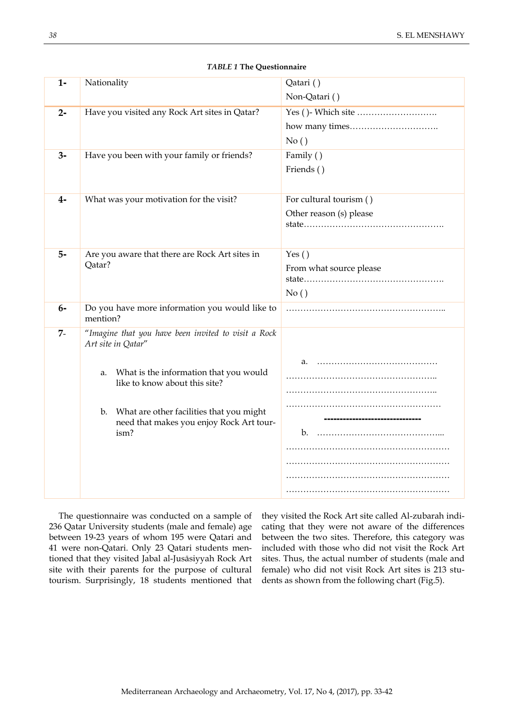| <b>TABLE 1 The Questionnaire</b> |                                                                           |                         |
|----------------------------------|---------------------------------------------------------------------------|-------------------------|
| $1 -$                            | Nationality                                                               | Qatari ()               |
|                                  |                                                                           | Non-Qatari()            |
| $2 -$                            | Have you visited any Rock Art sites in Qatar?                             |                         |
|                                  |                                                                           |                         |
|                                  |                                                                           | No()                    |
| $3-$                             | Have you been with your family or friends?                                | Family ()               |
|                                  |                                                                           | Friends ()              |
|                                  |                                                                           |                         |
| 4-                               | What was your motivation for the visit?                                   | For cultural tourism () |
|                                  |                                                                           | Other reason (s) please |
|                                  |                                                                           |                         |
|                                  |                                                                           |                         |
| $5-$                             | Are you aware that there are Rock Art sites in                            | Yes()                   |
|                                  | Qatar?                                                                    | From what source please |
|                                  |                                                                           |                         |
|                                  |                                                                           | No()                    |
| $6-$                             | Do you have more information you would like to<br>mention?                |                         |
| $7-$                             | "Imagine that you have been invited to visit a Rock<br>Art site in Qatar" |                         |
|                                  |                                                                           |                         |
|                                  | What is the information that you would<br>a.                              |                         |
|                                  | like to know about this site?                                             |                         |
|                                  |                                                                           |                         |
|                                  | b. What are other facilities that you might                               |                         |
|                                  | need that makes you enjoy Rock Art tour-<br>ism?                          | $h_{-}$                 |
|                                  |                                                                           |                         |
|                                  |                                                                           |                         |
|                                  |                                                                           |                         |
|                                  |                                                                           |                         |
|                                  |                                                                           |                         |

The questionnaire was conducted on a sample of 236 Qatar University students (male and female) age between 19-23 years of whom 195 were Qatari and 41 were non-Qatari. Only 23 Qatari students mentioned that they visited Jabal al-Jusāsiyyah Rock Art site with their parents for the purpose of cultural tourism. Surprisingly, 18 students mentioned that

they visited the Rock Art site called Al-zubarah indicating that they were not aware of the differences between the two sites. Therefore, this category was included with those who did not visit the Rock Art sites. Thus, the actual number of students (male and female) who did not visit Rock Art sites is 213 students as shown from the following chart (Fig.5).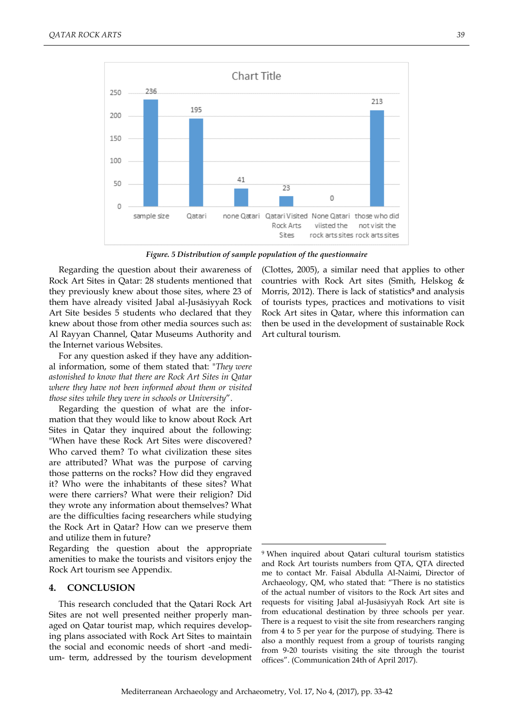

*Figure. 5 Distribution of sample population of the questionnaire*

Regarding the question about their awareness of Rock Art Sites in Qatar: 28 students mentioned that they previously knew about those sites, where 23 of them have already visited Jabal al-Jusāsiyyah Rock Art Site besides 5 students who declared that they knew about those from other media sources such as: Al Rayyan Channel, Qatar Museums Authority and the Internet various Websites.

For any question asked if they have any additional information, some of them stated that: "*They were astonished to know that there are Rock Art Sites in Qatar where they have not been informed about them or visited those sites while they were in schools or University*".

Regarding the question of what are the information that they would like to know about Rock Art Sites in Qatar they inquired about the following: "When have these Rock Art Sites were discovered? Who carved them? To what civilization these sites are attributed? What was the purpose of carving those patterns on the rocks? How did they engraved it? Who were the inhabitants of these sites? What were there carriers? What were their religion? Did they wrote any information about themselves? What are the difficulties facing researchers while studying the Rock Art in Qatar? How can we preserve them and utilize them in future?

Regarding the question about the appropriate amenities to make the tourists and visitors enjoy the Rock Art tourism see Appendix.

#### **4. CONCLUSION**

This research concluded that the Qatari Rock Art Sites are not well presented neither properly managed on Qatar tourist map, which requires developing plans associated with Rock Art Sites to maintain the social and economic needs of short -and medium- term, addressed by the tourism development

(Clottes, 2005), a similar need that applies to other countries with Rock Art sites (Smith, Helskog & Morris, 2012). There is lack of statistics**<sup>9</sup>** and analysis of tourists types, practices and motivations to visit Rock Art sites in Qatar, where this information can then be used in the development of sustainable Rock Art cultural tourism.

**.** 

<sup>9</sup> When inquired about Qatari cultural tourism statistics and Rock Art tourists numbers from QTA, QTA directed me to contact Mr. Faisal Abdulla Al-Naimi, Director of Archaeology, QM, who stated that: "There is no statistics of the actual number of visitors to the Rock Art sites and requests for visiting Jabal al-Jusāsiyyah Rock Art site is from educational destination by three schools per year. There is a request to visit the site from researchers ranging from 4 to 5 per year for the purpose of studying. There is also a monthly request from a group of tourists ranging from 9-20 tourists visiting the site through the tourist offices". (Communication 24th of April 2017).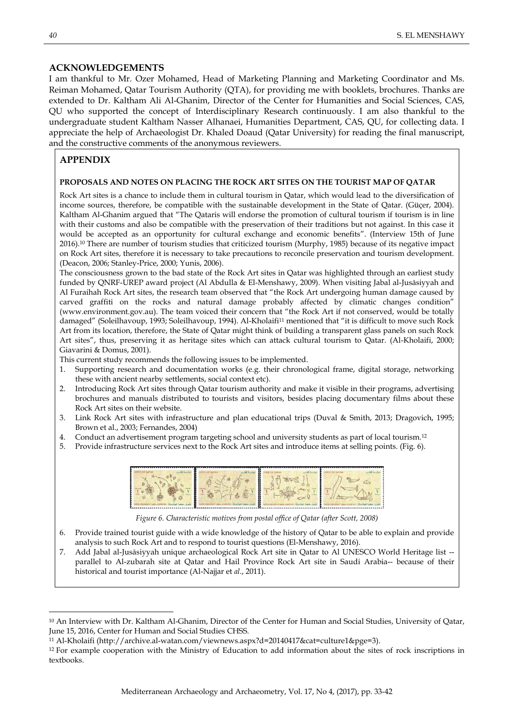# **ACKNOWLEDGEMENTS**

I am thankful to Mr. Ozer Mohamed, Head of Marketing Planning and Marketing Coordinator and Ms. Reiman Mohamed, Qatar Tourism Authority (QTA), for providing me with booklets, brochures. Thanks are extended to Dr. Kaltham Ali Al-Ghanim, Director of the Center for Humanities and Social Sciences, CAS, QU who supported the concept of Interdisciplinary Research continuously. I am also thankful to the undergraduate student Kaltham Nasser Alhanaei, Humanities Department, CAS, QU, for collecting data. I appreciate the help of Archaeologist Dr. Khaled Doaud (Qatar University) for reading the final manuscript, and the constructive comments of the anonymous reviewers.

# **APPENDIX**

#### **PROPOSALS AND NOTES ON PLACING THE ROCK ART SITES ON THE TOURIST MAP OF QATAR**

Rock Art sites is a chance to include them in cultural tourism in Qatar, which would lead to the diversification of income sources, therefore, be compatible with the sustainable development in the State of Qatar. (Güçer, 2004). Kaltham Al-Ghanim argued that "The Qataris will endorse the promotion of cultural tourism if tourism is in line with their customs and also be compatible with the preservation of their traditions but not against. In this case it would be accepted as an opportunity for cultural exchange and economic benefits". (Interview 15th of June 2016).<sup>10</sup> There are number of tourism studies that criticized tourism (Murphy, 1985) because of its negative impact on Rock Art sites, therefore it is necessary to take precautions to reconcile preservation and tourism development. (Deacon, 2006; Stanley-Price, 2000; Yunis, 2006).

The consciousness grown to the bad state of the Rock Art sites in Qatar was highlighted through an earliest study funded by QNRF-UREP award project (Al Abdulla & El-Menshawy, 2009). When visiting Jabal al-Jusāsiyyah and Al Furaihah Rock Art sites, the research team observed that "the Rock Art undergoing human damage caused by carved graffiti on the rocks and natural damage probably affected by climatic changes condition" (www.environment.gov.au). The team voiced their concern that "the Rock Art if not conserved, would be totally damaged" (Soleilhavoup, 1993; Soleilhavoup, 1994). Al-Kholaifi<sup>11</sup> mentioned that "it is difficult to move such Rock Art from its location, therefore, the State of Qatar might think of building a transparent glass panels on such Rock Art sites", thus, preserving it as heritage sites which can attack cultural tourism to Qatar. (Al-Kholaifi, 2000; Giavarini & Domus, 2001).

This current study recommends the following issues to be implemented.

- 1. Supporting research and documentation works (e.g. their chronological frame, digital storage, networking these with ancient nearby settlements, social context etc).
- 2. Introducing Rock Art sites through Qatar tourism authority and make it visible in their programs, advertising brochures and manuals distributed to tourists and visitors, besides placing documentary films about these Rock Art sites on their website.
- 3. Link Rock Art sites with infrastructure and plan educational trips (Duval & Smith, 2013; Dragovich, 1995; Brown et al., 2003; Fernandes, 2004)
- 4. Conduct an advertisement program targeting school and university students as part of local tourism.<sup>12</sup>
- 5. Provide infrastructure services next to the Rock Art sites and introduce items at selling points. (Fig. 6).



*Figure 6. Characteristic motives from postal office of Qatar (after Scott, 2008)*

- 6. Provide trained tourist guide with a wide knowledge of the history of Qatar to be able to explain and provide analysis to such Rock Art and to respond to tourist questions (El-Menshawy, 2016).
- 7. Add Jabal al-Jusāsiyyah unique archaeological Rock Art site in Qatar to Al UNESCO World Heritage list parallel to Al-zubarah site at Qatar and Hail Province Rock Art site in Saudi Arabia-- because of their historical and tourist importance (Al-Najjar et *al*., 2011).

<u>.</u>

<sup>10</sup> An Interview with Dr. Kaltham Al-Ghanim, Director of the Center for Human and Social Studies, University of Qatar, June 15, 2016, Center for Human and Social Studies CHSS.

<sup>11</sup> Al-Kholaifi (http://archive.al-watan.com/viewnews.aspx?d=20140417&cat=culture1&pge=3).

<sup>&</sup>lt;sup>12</sup> For example cooperation with the Ministry of Education to add information about the sites of rock inscriptions in textbooks.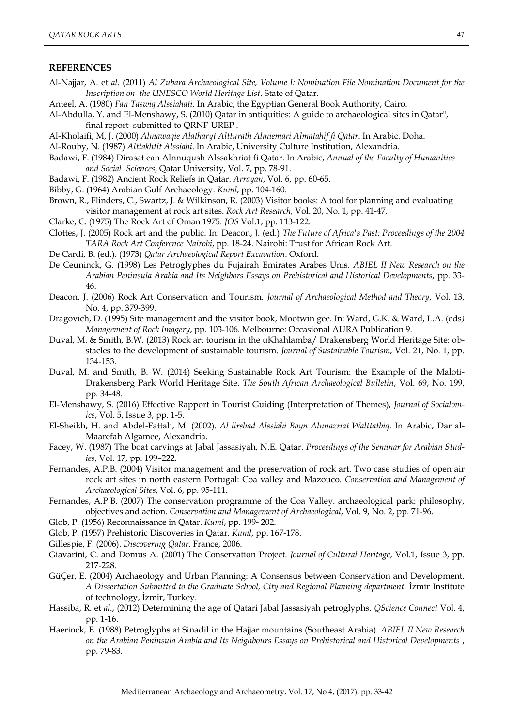#### **REFERENCES**

- Al-Najjar, A. et *al*. (2011) *Al Zubara Archaeological Site, Volume I: Nomination File Nomination Document for the Inscription on the UNESCO World Heritage List*. State of Qatar.
- Anteel, A. (1980) *Fan Taswiq Alssiahati*. In Arabic, the Egyptian General Book Authority, Cairo.
- Al-Abdulla, Y. and El-Menshawy, S. (2010) Qatar in antiquities: A guide to archaeological sites in Qatar", final report submitted to QRNF-UREP .
- Al-Kholaifi, M, J. (2000) *Almawaqie Alatharyt Altturath Almiemari Almatahif fi Qatar*. In Arabic. Doha.
- Al-Rouby, N. (1987) *Alttakhtit Alssiahi*. In Arabic, University Culture Institution, Alexandria.
- Badawi, F. (1984) Dirasat ean Alnnuqush Alssakhriat fi Qatar. In Arabic, *Annual of the Faculty of Humanities and Social Sciences*, Qatar University, Vol. 7, pp. 78-91.
- Badawi, F. (1982) Ancient Rock Reliefs in Qatar. *Arrayan*, Vol. 6, pp. 60-65.
- Bibby, G. (1964) Arabian Gulf Archaeology. *Kuml*, pp. 104-160.
- Brown, R., Flinders, C., Swartz, J. & Wilkinson, R. (2003) Visitor books: A tool for planning and evaluating visitor management at rock art sites. *Rock Art Research,* Vol. 20, No. 1, pp. 41-47.
- Clarke, C. (1975) The Rock Art of Oman 1975. *JOS* Vol.1, pp. 113-122.
- Clottes, J. (2005) Rock art and the public. In: Deacon, J. (ed.) *The Future of Africa's Past: Proceedings of the 2004 TARA Rock Art Conference Nairobi*, pp. 18-24. Nairobi: Trust for African Rock Art.
- De Cardi, B. (ed.). (1973) *Qatar Archaeological Report Excavation*. Oxford.
- De Ceuninck, G. (1998) Les Petroglyphes du Fujairah Emirates Arabes Unis. *ABIEL II New Research on the Arabian Peninsula Arabia and Its Neighbors Essays on Prehistorical and Historical Developments*, pp. 33- 46.
- Deacon, J. (2006) Rock Art Conservation and Tourism. *Journal of Archaeological Method and Theory*, Vol. 13, No. 4, pp. 379-399.
- Dragovich, D. (1995) Site management and the visitor book, Mootwin gee. In: Ward, G.K. & Ward, L.A. (eds*) Management of Rock Imagery*, pp. 103-106. Melbourne: Occasional AURA Publication 9.
- Duval, M. & Smith, B.W. (2013) Rock art tourism in the uKhahlamba/ Drakensberg World Heritage Site: obstacles to the development of sustainable tourism. *Journal of Sustainable Tourism*, Vol. 21, No. 1, pp. 134-153.
- Duval, M. and Smith, B. W. (2014) Seeking Sustainable Rock Art Tourism: the Example of the Maloti-Drakensberg Park World Heritage Site. *The South African Archaeological Bulletin*, Vol. 69, No. 199, pp. 34-48.
- El-Menshawy, S. (2016) Effective Rapport in Tourist Guiding (Interpretation of Themes), *Journal of Socialomics*, Vol. 5, Issue 3, pp. 1-5.
- El-Sheikh, H. and Abdel-Fattah, M. (2002). *Al'iirshad Alssiahi Bayn Alnnazriat Walttatbiq*. In Arabic, Dar al-Maarefah Algamee, Alexandria.
- Facey, W. (1987) The boat carvings at Jabal Jassasiyah, N.E. Qatar. *Proceedings of the Seminar for Arabian Studies*, Vol. 17, pp. 199–222.
- Fernandes, A.P.B. (2004) Visitor management and the preservation of rock art. Two case studies of open air rock art sites in north eastern Portugal: Coa valley and Mazouco. *Conservation and Management of Archaeological Sites*, Vol. 6, pp. 95-111.
- Fernandes, A.P.B. (2007) The conservation programme of the Coa Valley. archaeological park: philosophy, objectives and action. *Conservation and Management of Archaeological*, Vol. 9, No. 2, pp. 71-96.
- Glob, P. (1956) Reconnaissance in Qatar. *Kuml*, pp. 199- 202.
- Glob, P. (1957) Prehistoric Discoveries in Qatar. *Kuml*, pp. 167-178.
- Gillespie, F. (2006). *Discovering Qatar*. France, 2006.
- Giavarini, C. and Domus A. (2001) The Conservation Project. *Journal of Cultural Heritage*, Vol.1, Issue 3, pp. 217-228.
- GüÇer, E. (2004) Archaeology and Urban Planning: A Consensus between Conservation and Development. *A Dissertation Submitted to the Graduate School, City and Regional Planning department*. İzmir Institute of technology, İzmir, Turkey.
- Hassiba, R. et *al*., (2012) Determining the age of Qatari Jabal Jassasiyah petroglyphs. *QScience Connect* Vol. 4, pp. 1-16.
- Haerinck, E. (1988) Petroglyphs at Sinadil in the Hajjar mountains (Southeast Arabia). *ABIEL II New Research on the Arabian Peninsula Arabia and Its Neighbours Essays on Prehistorical and Historical Developments* , pp. 79-83.